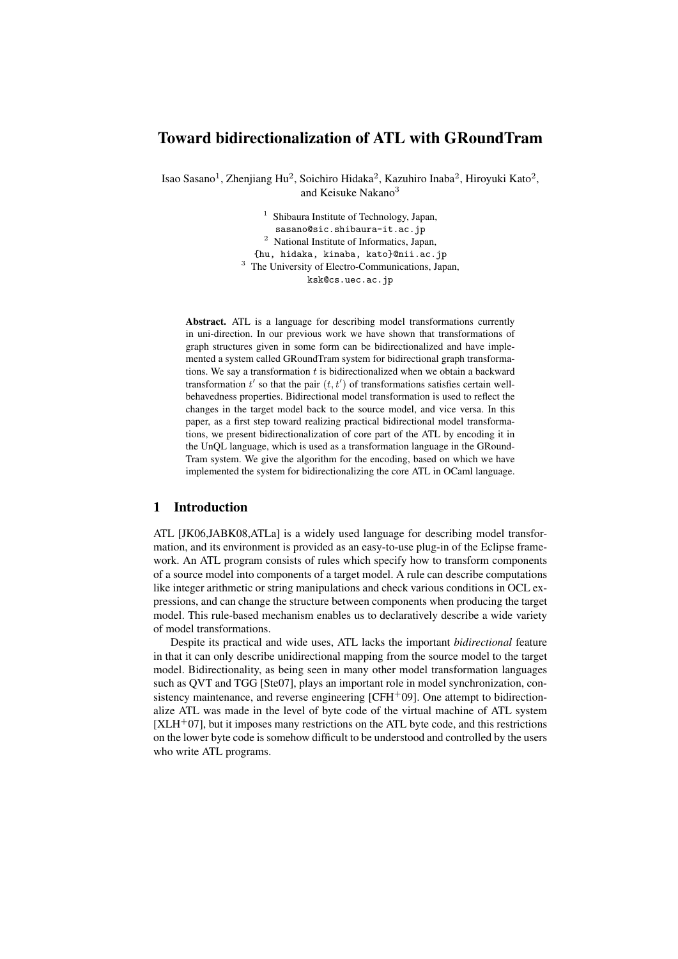# Toward bidirectionalization of ATL with GRoundTram

Isao Sasano<sup>1</sup>, Zhenjiang Hu<sup>2</sup>, Soichiro Hidaka<sup>2</sup>, Kazuhiro Inaba<sup>2</sup>, Hiroyuki Kato<sup>2</sup>, and Keisuke Nakano<sup>3</sup>

> <sup>1</sup> Shibaura Institute of Technology, Japan, sasano@sic.shibaura-it.ac.jp <sup>2</sup> National Institute of Informatics, Japan, {hu, hidaka, kinaba, kato}@nii.ac.jp <sup>3</sup> The University of Electro-Communications, Japan, ksk@cs.uec.ac.jp

Abstract. ATL is a language for describing model transformations currently in uni-direction. In our previous work we have shown that transformations of graph structures given in some form can be bidirectionalized and have implemented a system called GRoundTram system for bidirectional graph transformations. We say a transformation *t* is bidirectionalized when we obtain a backward transformation  $t'$  so that the pair  $(t, t')$  of transformations satisfies certain wellbehavedness properties. Bidirectional model transformation is used to reflect the changes in the target model back to the source model, and vice versa. In this paper, as a first step toward realizing practical bidirectional model transformations, we present bidirectionalization of core part of the ATL by encoding it in the UnQL language, which is used as a transformation language in the GRound-Tram system. We give the algorithm for the encoding, based on which we have implemented the system for bidirectionalizing the core ATL in OCaml language.

## 1 Introduction

ATL [JK06,JABK08,ATLa] is a widely used language for describing model transformation, and its environment is provided as an easy-to-use plug-in of the Eclipse framework. An ATL program consists of rules which specify how to transform components of a source model into components of a target model. A rule can describe computations like integer arithmetic or string manipulations and check various conditions in OCL expressions, and can change the structure between components when producing the target model. This rule-based mechanism enables us to declaratively describe a wide variety of model transformations.

Despite its practical and wide uses, ATL lacks the important *bidirectional* feature in that it can only describe unidirectional mapping from the source model to the target model. Bidirectionality, as being seen in many other model transformation languages such as QVT and TGG [Ste07], plays an important role in model synchronization, consistency maintenance, and reverse engineering  $[CFH<sup>+</sup>09]$ . One attempt to bidirectionalize ATL was made in the level of byte code of the virtual machine of ATL system  $[XLH<sup>+</sup>07]$ , but it imposes many restrictions on the ATL byte code, and this restrictions on the lower byte code is somehow difficult to be understood and controlled by the users who write ATL programs.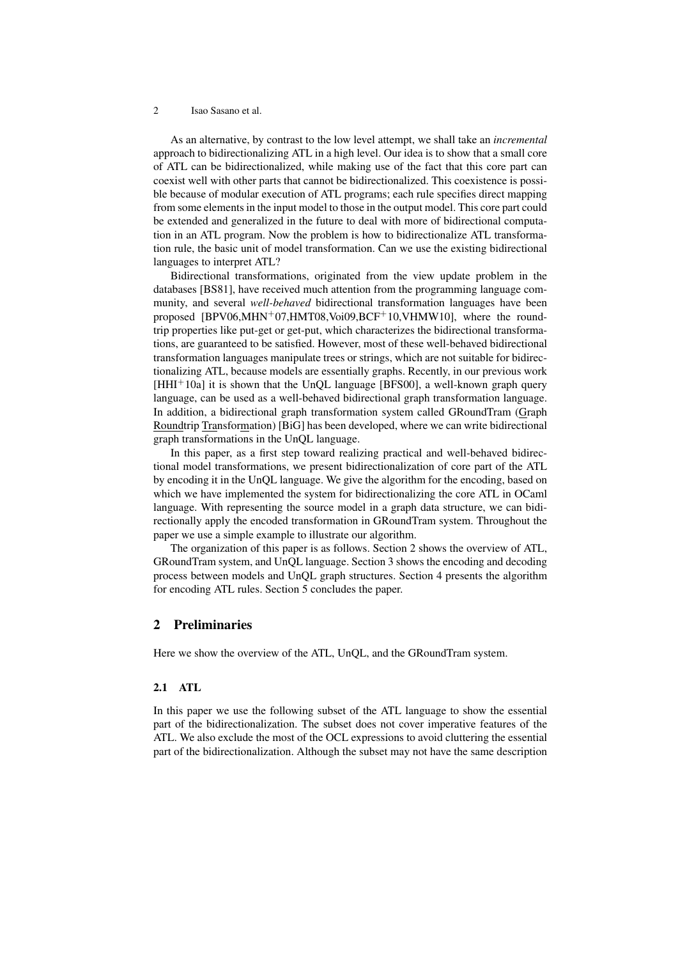As an alternative, by contrast to the low level attempt, we shall take an *incremental* approach to bidirectionalizing ATL in a high level. Our idea is to show that a small core of ATL can be bidirectionalized, while making use of the fact that this core part can coexist well with other parts that cannot be bidirectionalized. This coexistence is possible because of modular execution of ATL programs; each rule specifies direct mapping from some elements in the input model to those in the output model. This core part could be extended and generalized in the future to deal with more of bidirectional computation in an ATL program. Now the problem is how to bidirectionalize ATL transformation rule, the basic unit of model transformation. Can we use the existing bidirectional languages to interpret ATL?

Bidirectional transformations, originated from the view update problem in the databases [BS81], have received much attention from the programming language community, and several *well-behaved* bidirectional transformation languages have been proposed  $[BPV06, MHN<sup>+</sup>07, HMT08, Voi09, BCF<sup>+</sup>10, VHMW10]$ , where the roundtrip properties like put-get or get-put, which characterizes the bidirectional transformations, are guaranteed to be satisfied. However, most of these well-behaved bidirectional transformation languages manipulate trees or strings, which are not suitable for bidirectionalizing ATL, because models are essentially graphs. Recently, in our previous work  $[HHI<sup>+</sup>10a]$  it is shown that the UnQL language [BFS00], a well-known graph query language, can be used as a well-behaved bidirectional graph transformation language. In addition, a bidirectional graph transformation system called GRoundTram (Graph Roundtrip Transformation) [BiG] has been developed, where we can write bidirectional graph transformations in the UnQL language.

In this paper, as a first step toward realizing practical and well-behaved bidirectional model transformations, we present bidirectionalization of core part of the ATL by encoding it in the UnQL language. We give the algorithm for the encoding, based on which we have implemented the system for bidirectionalizing the core ATL in OCaml language. With representing the source model in a graph data structure, we can bidirectionally apply the encoded transformation in GRoundTram system. Throughout the paper we use a simple example to illustrate our algorithm.

The organization of this paper is as follows. Section 2 shows the overview of ATL, GRoundTram system, and UnQL language. Section 3 shows the encoding and decoding process between models and UnQL graph structures. Section 4 presents the algorithm for encoding ATL rules. Section 5 concludes the paper.

### 2 Preliminaries

Here we show the overview of the ATL, UnQL, and the GRoundTram system.

### 2.1 ATL

In this paper we use the following subset of the ATL language to show the essential part of the bidirectionalization. The subset does not cover imperative features of the ATL. We also exclude the most of the OCL expressions to avoid cluttering the essential part of the bidirectionalization. Although the subset may not have the same description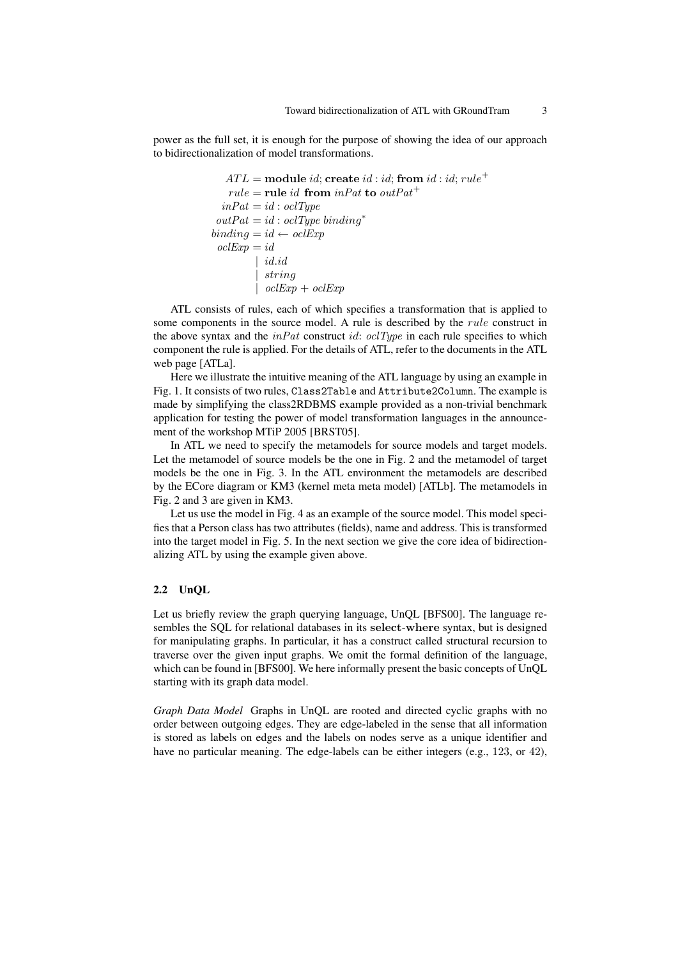power as the full set, it is enough for the purpose of showing the idea of our approach to bidirectionalization of model transformations.

```
ATL =module id; create id : id; from id : id; rule<sup>+</sup>
   rule = rule id from inPat to outPat^+inPat = id : oclTypeoutPat = id : oclType\ binding^*binding = id \leftarrow oclExpoclExp = id
         | id.id
           | string
         | oclExp + oclExp
```
ATL consists of rules, each of which specifies a transformation that is applied to some components in the source model. A rule is described by the *rule* construct in the above syntax and the *inPat* construct *id*: *oclType* in each rule specifies to which component the rule is applied. For the details of ATL, refer to the documents in the ATL web page [ATLa].

Here we illustrate the intuitive meaning of the ATL language by using an example in Fig. 1. It consists of two rules, Class2Table and Attribute2Column. The example is made by simplifying the class2RDBMS example provided as a non-trivial benchmark application for testing the power of model transformation languages in the announcement of the workshop MTiP 2005 [BRST05].

In ATL we need to specify the metamodels for source models and target models. Let the metamodel of source models be the one in Fig. 2 and the metamodel of target models be the one in Fig. 3. In the ATL environment the metamodels are described by the ECore diagram or KM3 (kernel meta meta model) [ATLb]. The metamodels in Fig. 2 and 3 are given in KM3.

Let us use the model in Fig. 4 as an example of the source model. This model specifies that a Person class has two attributes (fields), name and address. This is transformed into the target model in Fig. 5. In the next section we give the core idea of bidirectionalizing ATL by using the example given above.

#### 2.2 UnQL

Let us briefly review the graph querying language, UnQL [BFS00]. The language resembles the SQL for relational databases in its **select**-**where** syntax, but is designed for manipulating graphs. In particular, it has a construct called structural recursion to traverse over the given input graphs. We omit the formal definition of the language, which can be found in [BFS00]. We here informally present the basic concepts of UnQL starting with its graph data model.

*Graph Data Model* Graphs in UnQL are rooted and directed cyclic graphs with no order between outgoing edges. They are edge-labeled in the sense that all information is stored as labels on edges and the labels on nodes serve as a unique identifier and have no particular meaning. The edge-labels can be either integers (e.g., 123, or 42),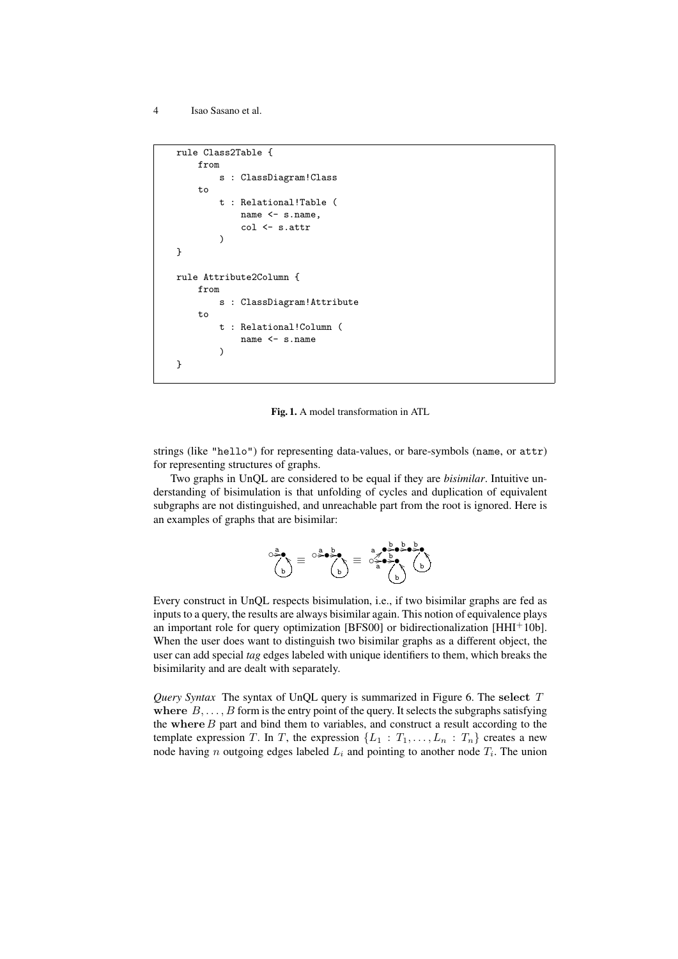```
rule Class2Table {
    from
        s : ClassDiagram!Class
    to
         t : Relational!Table (
             name \leq s.name,
             col <- s.attr
         )
}
rule Attribute2Column {
    from
        s : ClassDiagram!Attribute
    t<sub>0</sub>t : Relational!Column (
             name <- s.name
         )
}
```
Fig. 1. A model transformation in ATL

strings (like "hello") for representing data-values, or bare-symbols (name, or attr) for representing structures of graphs.

Two graphs in UnQL are considered to be equal if they are *bisimilar*. Intuitive understanding of bisimulation is that unfolding of cycles and duplication of equivalent subgraphs are not distinguished, and unreachable part from the root is ignored. Here is an examples of graphs that are bisimilar:

$$
\bigodot_{b}^{a} \equiv \bigodot^{\overset{a}{\Rightarrow}} \overset{b}{\bullet} \bigodot \equiv \bigodot^{\overset{a}{\Rightarrow}} \overset{a}{\underset{b}{\Rightarrow}} \overset{b}{\underset{b}{\Rightarrow}} \overset{b}{\underset{b}{\Rightarrow}} \overset{b}{\underset{b}{\Rightarrow}}
$$

Every construct in UnQL respects bisimulation, i.e., if two bisimilar graphs are fed as inputs to a query, the results are always bisimilar again. This notion of equivalence plays an important role for query optimization [BFS00] or bidirectionalization [HHI+10b]. When the user does want to distinguish two bisimilar graphs as a different object, the user can add special *tag* edges labeled with unique identifiers to them, which breaks the bisimilarity and are dealt with separately.

*Query Syntax* The syntax of UnQL query is summarized in Figure 6. The **select** *T* **where** *B, . . . , B* form is the entry point of the query. It selects the subgraphs satisfying the **where** *B* part and bind them to variables, and construct a result according to the template expression *T*. In *T*, the expression  $\{L_1 : T_1, \ldots, L_n : T_n\}$  creates a new node having *n* outgoing edges labeled *L<sup>i</sup>* and pointing to another node *T<sup>i</sup>* . The union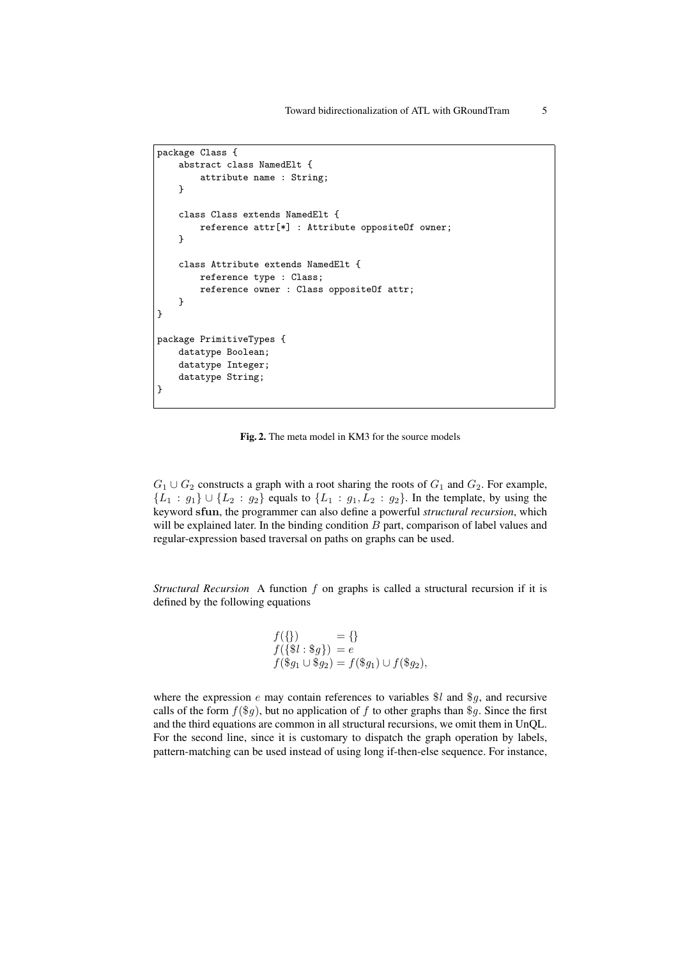```
package Class {
    abstract class NamedElt {
        attribute name : String;
    }
    class Class extends NamedElt {
        reference attr[*] : Attribute oppositeOf owner;
    }
    class Attribute extends NamedElt {
        reference type : Class;
        reference owner : Class oppositeOf attr;
    }
}
package PrimitiveTypes {
    datatype Boolean;
    datatype Integer;
    datatype String;
}
```
Fig. 2. The meta model in KM3 for the source models

 $G_1 \cup G_2$  constructs a graph with a root sharing the roots of  $G_1$  and  $G_2$ . For example, *{L*<sub>1</sub> : *g*<sub>1</sub>} ∪ {*L*<sub>2</sub> : *g*<sub>2</sub>} equals to {*L*<sub>1</sub> : *g*<sub>1</sub>*, L*<sub>2</sub> : *g*<sub>2</sub>}. In the template, by using the keyword **sfun**, the programmer can also define a powerful *structural recursion*, which will be explained later. In the binding condition *B* part, comparison of label values and regular-expression based traversal on paths on graphs can be used.

*Structural Recursion* A function *f* on graphs is called a structural recursion if it is defined by the following equations

$$
f(\{\}) = \{\}f(\{\$l : \$g\}) = ef(\$g_1 \cup \$g_2) = f(\$g_1) \cup f(\$g_2),
$$

where the expression *e* may contain references to variables \$*l* and \$*g*, and recursive calls of the form  $f(\$g)$ , but no application of  $f$  to other graphs than  $\$g$ . Since the first and the third equations are common in all structural recursions, we omit them in UnQL. For the second line, since it is customary to dispatch the graph operation by labels, pattern-matching can be used instead of using long if-then-else sequence. For instance,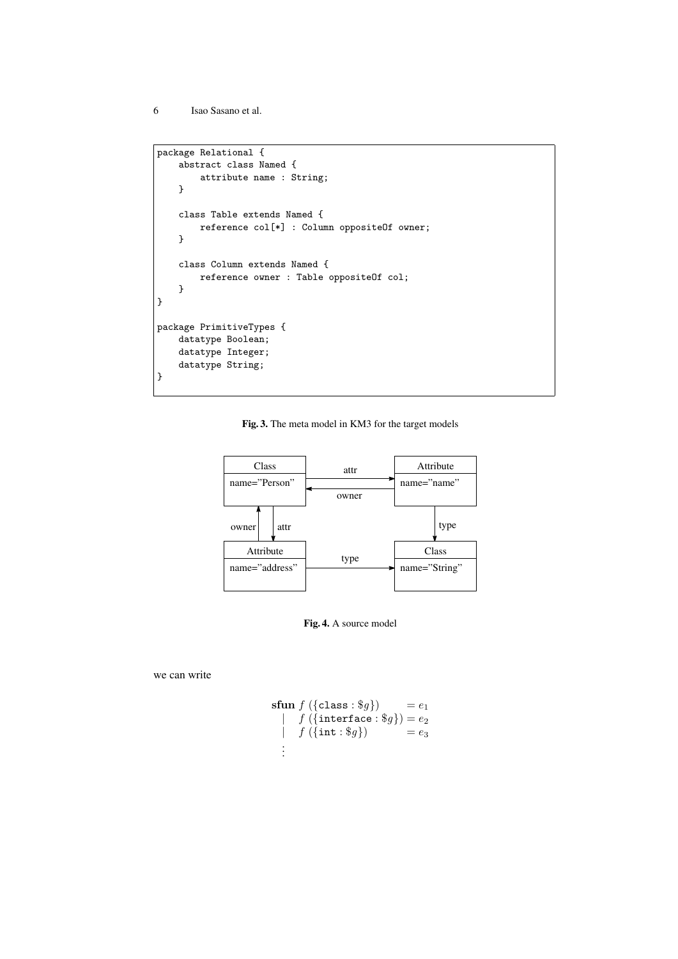```
package Relational {
    abstract class Named {
        attribute name : String;
    }
    class Table extends Named {
        reference col[*] : Column oppositeOf owner;
    }
    class Column extends Named {
        reference owner : Table oppositeOf col;
    }
}
package PrimitiveTypes {
    datatype Boolean;
    datatype Integer;
    datatype String;
}
```






we can write

```
sfun f(\{\text{class} : \$g\}) = e_1\int f\left( \left\{ \text{interface}: \$g \right\} \right) = e_2\int f(\{\mathtt{int}: \$g\}) = e_3.
.
.
```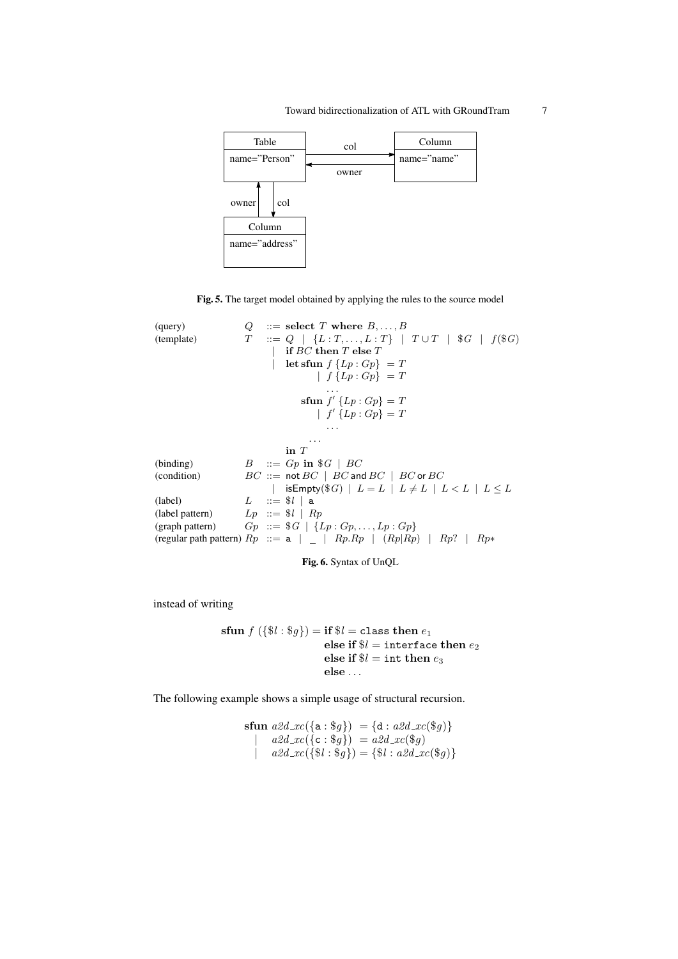

Fig. 5. The target model obtained by applying the rules to the source model

| (query)                              | $Q$ ::= select $T$ where $B, ..., B$                                      |
|--------------------------------------|---------------------------------------------------------------------------|
| (template)                           | $T$ ::= $Q \mid \{L : T, ..., L : T\} \mid T \cup T \mid \$G \mid f(\$G)$ |
| if $BC$ then $T$ else $T$            |                                                                           |
| let $\text{sfun } f \{Lp : Gp\} = T$ |                                                                           |
| $f \{Lp : Gp\} = T$                  |                                                                           |
| ...                                  |                                                                           |
| ...                                  |                                                                           |
| ...                                  |                                                                           |
| ...                                  |                                                                           |
| ...                                  |                                                                           |
| ...                                  |                                                                           |
| ...                                  |                                                                           |
| ...                                  |                                                                           |
| ...                                  |                                                                           |
| ...                                  |                                                                           |
| ...                                  |                                                                           |
| ...                                  |                                                                           |
| ...                                  |                                                                           |
| ...                                  |                                                                           |
| ...                                  |                                                                           |
| ...                                  |                                                                           |
| ...                                  |                                                                           |
| ...                                  |                                                                           |
| ...                                  |                                                                           |
| ...                                  |                                                                           |
| ...                                  |                                                                           |
| ...                                  |                                                                           |
| ...                                  |                                                                           |
| ...                                  |                                                                           |
| ...                                  |                                                                           |
| ...                                  |                                                                           |
| ...                                  |                                                                           |
| ...                                  |                                                                           |
| ...                                  |                                                                           |
| ...                                  |                                                                           |
| ...                                  |                                                                           |
| ...                                  |                                                                           |
| ...                                  |                                                                           |
| ...                                  |                                                                           |
| ...                                  |                                                                           |
| ...                                  |                                                                           |
| ...                                  |                                                                           |
| ...                                  |                                                                           |
| ...                                  |                                                                           |
| ...                                  |                                                                           |
| ...                                  |                                                                           |
| ...                                  |                                                                           |
| ...                                  |                                                                           |

Fig. 6. Syntax of UnQL

instead of writing

 ${\bf sfun} \ f\ (\{\$\mathcal{l} : \$g\}) = {\bf if} \ \$\mathcal{l} = {\bf class \ then} \ e_1$  $\textbf{else if }$  if  $l =$  interface then  $e_2$ **else if**  $l = \text{int then } e_3$ **else** *. . .*

The following example shows a simple usage of structural recursion.

$$
\begin{array}{ll}\n\textbf{sfun } a2d_xc(\{a: \$g\}) & = \{d: a2d_xc(\$g)\} \\
& \mid & a2d_xc(\{c: \$g\}) = a2d_xc(\$g) \\
& \mid & a2d_xc(\$l: \$g\}) = \$\{l: a2d_xc(\$g)\}\n\end{array}
$$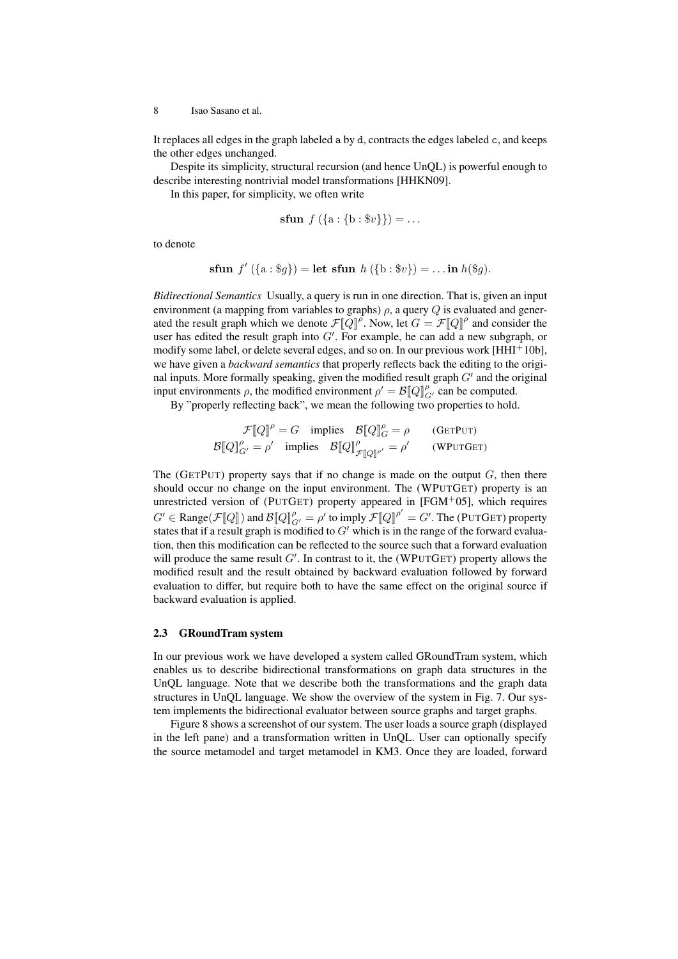It replaces all edges in the graph labeled a by d, contracts the edges labeled c, and keeps the other edges unchanged.

Despite its simplicity, structural recursion (and hence UnQL) is powerful enough to describe interesting nontrivial model transformations [HHKN09].

In this paper, for simplicity, we often write

**sfun** 
$$
f (\{a : \{b : \$v\}) = \dots
$$

to denote

**sfun** 
$$
f'(\{a: \$g\}) =
$$
**let sfun**  $h(\{b: \$v\}) = ...$ **in**  $h(\$g)$ .

*Bidirectional Semantics* Usually, a query is run in one direction. That is, given an input environment (a mapping from variables to graphs) *ρ*, a query *Q* is evaluated and generated the result graph which we denote  $\mathcal{F}[\![Q]\!]^{\rho}$ . Now, let  $G = \mathcal{F}[\![Q]\!]^{\rho}$  and consider the user has edited the result graph into *G′* . For example, he can add a new subgraph, or modify some label, or delete several edges, and so on. In our previous work  $[HHI^+10b]$ , we have given a *backward semantics* that properly reflects back the editing to the original inputs. More formally speaking, given the modified result graph *G′* and the original input environments  $\rho$ , the modified environment  $\rho' = \mathcal{B}[\![Q]\!]_{G'}^{\rho}$  can be computed.

By "properly reflecting back", we mean the following two properties to hold.

$$
\mathcal{F}[Q]^\rho = G \quad \text{implies} \quad \mathcal{B}[Q]_G^\rho = \rho \qquad \text{(GETPUT)}
$$
\n
$$
\mathcal{B}[Q]_{G'}^\rho = \rho' \quad \text{implies} \quad \mathcal{B}[Q]_{\mathcal{F}[Q]\rho'}^\rho = \rho' \qquad \text{(WPUTGET)}
$$

The (GETPUT) property says that if no change is made on the output *G*, then there should occur no change on the input environment. The (WPUTGET) property is an unrestricted version of (PUTGET) property appeared in [FGM+05], which requires  $G' \in \text{Range}(\mathcal{F}[\![Q]\!])$  and  $\mathcal{B}[\![Q]\!]_{G'}^{\rho} = \rho'$  to imply  $\mathcal{F}[\![Q]\!]^{\rho'} = G'.$  The (PUTGET) property states that if a result graph is modified to  $G'$  which is in the range of the forward evaluation, then this modification can be reflected to the source such that a forward evaluation will produce the same result *G′* . In contrast to it, the (WPUTGET) property allows the modified result and the result obtained by backward evaluation followed by forward evaluation to differ, but require both to have the same effect on the original source if backward evaluation is applied.

#### 2.3 GRoundTram system

In our previous work we have developed a system called GRoundTram system, which enables us to describe bidirectional transformations on graph data structures in the UnQL language. Note that we describe both the transformations and the graph data structures in UnQL language. We show the overview of the system in Fig. 7. Our system implements the bidirectional evaluator between source graphs and target graphs.

Figure 8 shows a screenshot of our system. The user loads a source graph (displayed in the left pane) and a transformation written in UnQL. User can optionally specify the source metamodel and target metamodel in KM3. Once they are loaded, forward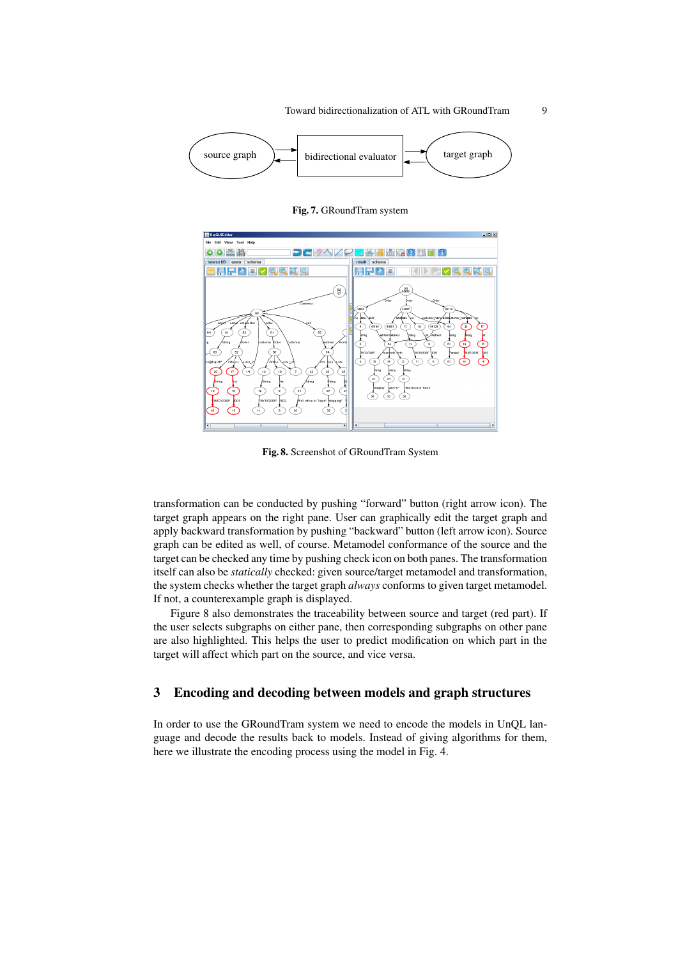

Fig. 7. GRoundTram system



Fig. 8. Screenshot of GRoundTram System

transformation can be conducted by pushing "forward" button (right arrow icon). The target graph appears on the right pane. User can graphically edit the target graph and apply backward transformation by pushing "backward" button (left arrow icon). Source graph can be edited as well, of course. Metamodel conformance of the source and the target can be checked any time by pushing check icon on both panes. The transformation itself can also be *statically* checked: given source/target metamodel and transformation, the system checks whether the target graph *always* conforms to given target metamodel. If not, a counterexample graph is displayed.

Figure 8 also demonstrates the traceability between source and target (red part). If the user selects subgraphs on either pane, then corresponding subgraphs on other pane are also highlighted. This helps the user to predict modification on which part in the target will affect which part on the source, and vice versa.

## 3 Encoding and decoding between models and graph structures

In order to use the GRoundTram system we need to encode the models in UnQL language and decode the results back to models. Instead of giving algorithms for them, here we illustrate the encoding process using the model in Fig. 4.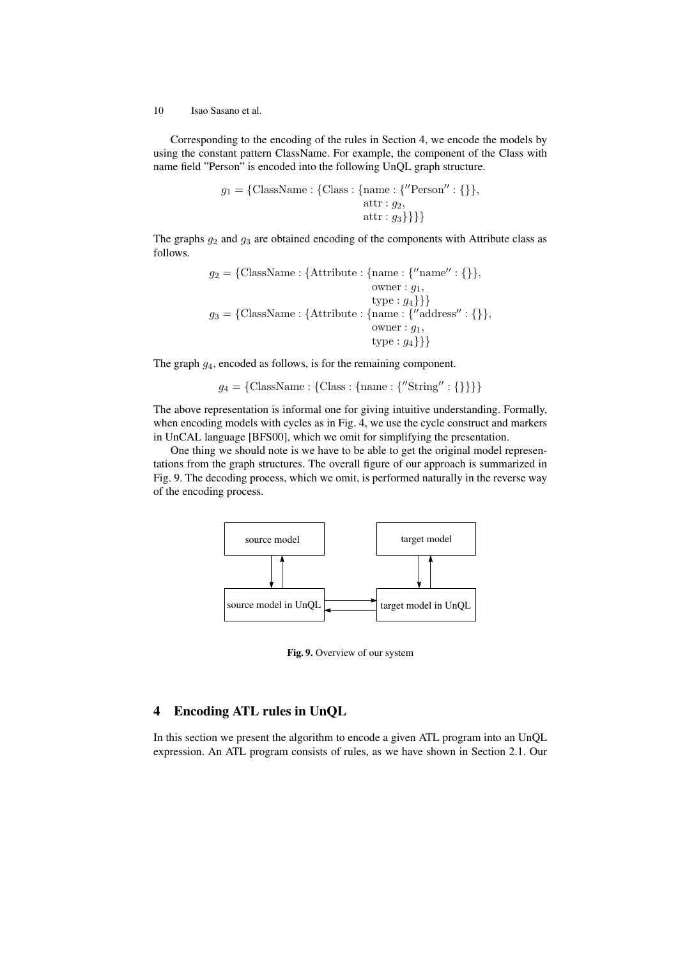Corresponding to the encoding of the rules in Section 4, we encode the models by using the constant pattern ClassName. For example, the component of the Class with name field "Person" is encoded into the following UnQL graph structure.

$$
g_1 = \{\text{ClassName}: \{\text{Class}: \{\text{name}: \{\text{''Person}': \{\}\}, \text{attr}: g_2, \text{attr}: g_3\} \}\}\}
$$

The graphs *g*<sup>2</sup> and *g*<sup>3</sup> are obtained encoding of the components with Attribute class as follows.

$$
g_2 = \{\text{ClassName}: \{\text{Attribute}: \{\text{name}: \{\text{"name": } \{\}\},\}
$$
  
where:  $g_1$ ,  
where:  $g_4$ ]}  
 $g_3 = \{\text{ClassName}: \{\text{Attribute}: \{\text{name}: \{\text{"address": } \{\}\},\}$   
where:  $g_1$ ,  
where:  $g_4$ ]}  
type:  $g_4$ }}

The graph *g*4, encoded as follows, is for the remaining component.

$$
g_4 = \{ \text{ClassName} : \{ \text{Class} : \{ \text{name} : \{ \text{"String"} : \{ \} \} \} \}
$$

The above representation is informal one for giving intuitive understanding. Formally, when encoding models with cycles as in Fig. 4, we use the cycle construct and markers in UnCAL language [BFS00], which we omit for simplifying the presentation.

One thing we should note is we have to be able to get the original model representations from the graph structures. The overall figure of our approach is summarized in Fig. 9. The decoding process, which we omit, is performed naturally in the reverse way of the encoding process.



Fig. 9. Overview of our system

## 4 Encoding ATL rules in UnQL

In this section we present the algorithm to encode a given ATL program into an UnQL expression. An ATL program consists of rules, as we have shown in Section 2.1. Our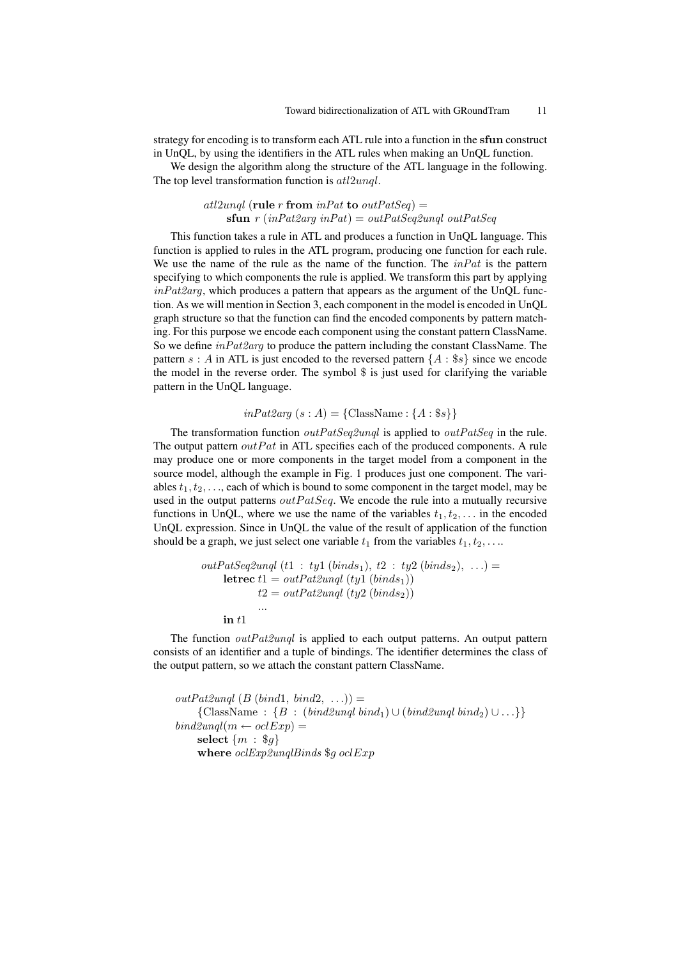strategy for encoding is to transform each ATL rule into a function in the **sfun** construct in UnQL, by using the identifiers in the ATL rules when making an UnQL function.

We design the algorithm along the structure of the ATL language in the following. The top level transformation function is *atl*2*unql*.

## *atl*2*unql* (**rule** *r* **from** *inPat* **to** *outPatSeq*) = **sfun** *r* (*inPat2arg inPat*) = *outPatSeq2unql outPatSeq*

This function takes a rule in ATL and produces a function in UnQL language. This function is applied to rules in the ATL program, producing one function for each rule. We use the name of the rule as the name of the function. The *inPat* is the pattern specifying to which components the rule is applied. We transform this part by applying *inPat2arg*, which produces a pattern that appears as the argument of the UnQL function. As we will mention in Section 3, each component in the model is encoded in UnQL graph structure so that the function can find the encoded components by pattern matching. For this purpose we encode each component using the constant pattern ClassName. So we define *inPat2arg* to produce the pattern including the constant ClassName. The pattern  $s : A$  in ATL is just encoded to the reversed pattern  ${A : \$s}$  since we encode the model in the reverse order. The symbol \$ is just used for clarifying the variable pattern in the UnQL language.

## $inPat2arg(s:A) = \{ClassName : \{A : \$s\} \}$

The transformation function *outPatSeq2unql* is applied to *outPatSeq* in the rule. The output pattern  $outPat$  in ATL specifies each of the produced components. A rule may produce one or more components in the target model from a component in the source model, although the example in Fig. 1 produces just one component. The variables  $t_1, t_2, \ldots$ , each of which is bound to some component in the target model, may be used in the output patterns *outP atSeq*. We encode the rule into a mutually recursive functions in UnQL, where we use the name of the variables  $t_1, t_2, \ldots$  in the encoded UnQL expression. Since in UnQL the value of the result of application of the function should be a graph, we just select one variable  $t_1$  from the variables  $t_1, t_2, \ldots$ 

$$
outPatSeq2unql (t1 : ty1 (binds1), t2 : ty2 (binds2), ...)=
$$
\nletrec t1 = outPat2unql (ty1 (binds<sub>1</sub>))  
\n t2 = outPat2unql (ty2 (binds<sub>2</sub>))  
\n...

\nin t1

The function *outPat2unql* is applied to each output patterns. An output pattern consists of an identifier and a tuple of bindings. The identifier determines the class of the output pattern, so we attach the constant pattern ClassName.

 $outPat2unql (B (bind1, bind2, ...) =$ *{*ClassName : *{B* : (*bind2unql bind*1) *∪* (*bind2unql bind*2) *∪ . . .}}*  $bind2unql(m \leftarrow oclExp) =$ **select** *{m* : \$*g}* **where** *oclExp2unqlBinds* \$*g oclExp*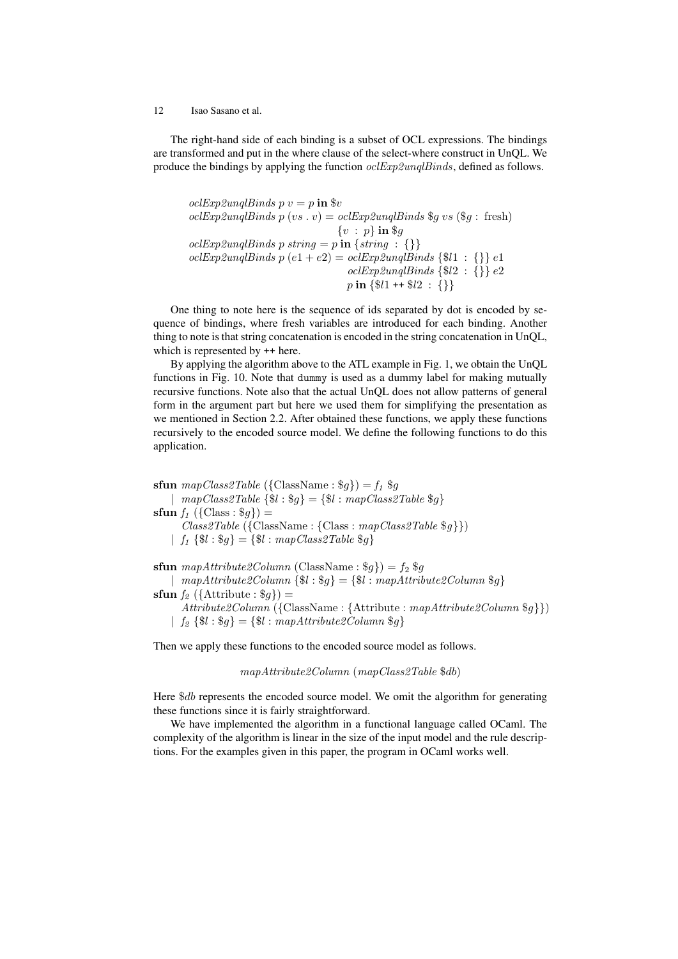The right-hand side of each binding is a subset of OCL expressions. The bindings are transformed and put in the where clause of the select-where construct in UnQL. We produce the bindings by applying the function *oclExp2unqlBinds*, defined as follows.

 $oclExp2unqBinds p v = p \textbf{in } $v$  $oclExp2unglBinds p (vs. v) = oclExp2unglBinds$  \$*g vs* (\$*g* : fresh) *{v* : *p}* **in** \$*g*  $oclExp2unglBinds p string = p \textbf{in} \{string : \{\}\}\$  $oclExp2ungBinds p(e1+e2) = oclExp2ungBinds {\$1 : {} {\}e1$ *oclExp2unqlBinds {*\$*l*2 : *{}} e*2 *p* **in** *{*\$*l*1 ++ \$*l*2 : *{}}*

One thing to note here is the sequence of ids separated by dot is encoded by sequence of bindings, where fresh variables are introduced for each binding. Another thing to note is that string concatenation is encoded in the string concatenation in UnQL, which is represented by  $++$  here.

By applying the algorithm above to the ATL example in Fig. 1, we obtain the UnQL functions in Fig. 10. Note that dummy is used as a dummy label for making mutually recursive functions. Note also that the actual UnQL does not allow patterns of general form in the argument part but here we used them for simplifying the presentation as we mentioned in Section 2.2. After obtained these functions, we apply these functions recursively to the encoded source model. We define the following functions to do this application.

**sfun**  $mapClass2Table$  ({ClassName :  $\mathcal{G}_g$ }) =  $f_1 \mathcal{G}_g$ *| mapClass2Table {*\$*l* : \$*g}* = *{*\$*l* : *mapClass2Table* \$*g}*  $\textbf{sfun } f_1 \text{ } (\{\text{Class}: \$\textit{g}\}) =$ *Class2Table* (*{*ClassName : *{*Class : *mapClass2Table* \$*g}}*) *| f<sup>1</sup> {*\$*l* : \$*g}* = *{*\$*l* : *mapClass2Table* \$*g}* **sfun**  $mapAttribute2Column$  (ClassName :  $\mathcal{L}g$ }) =  $f_2 \mathcal{L}g$ *| mapAttribute2Column {*\$*l* : \$*g}* = *{*\$*l* : *mapAttribute2Column* \$*g}*  $\textbf{sfun } f_{\varrho}$  ({Attribute :  $\varphi_{q}$ }) = *Attribute2Column* (*{*ClassName : *{*Attribute : *mapAttribute2Column* \$*g}}*) *| f<sup>2</sup> {*\$*l* : \$*g}* = *{*\$*l* : *mapAttribute2Column* \$*g}*

Then we apply these functions to the encoded source model as follows.

*mapAttribute2Column* (*mapClass2Table* \$*db*)

Here \$*db* represents the encoded source model. We omit the algorithm for generating these functions since it is fairly straightforward.

We have implemented the algorithm in a functional language called OCaml. The complexity of the algorithm is linear in the size of the input model and the rule descriptions. For the examples given in this paper, the program in OCaml works well.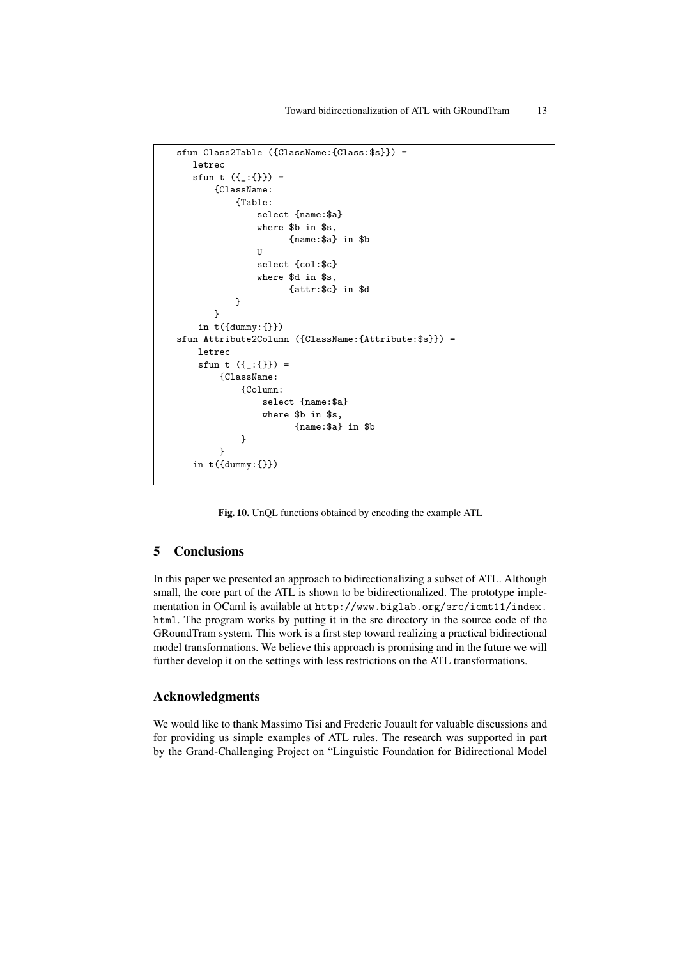```
sfun Class2Table ({ClassName:{Class:$s}}) =
   letrec
   sfun t ({.}){ClassName:
           {Table:
               select {name:$a}
               where $b in $s,
                      {name:$a} in $b
               U
               select {col:$c}
               where $d in $s,
                     {attr:$c} in $d
           }
       }
    in t({\text{dummy}}: {}\})sfun Attribute2Column ({ClassName:{Attribute:$s}}) =
    letrec
    sfun t ({. :}) =
        {ClassName:
            {Column:
                select {name:$a}
                where $b in $s,
                      {name:$a} in $b
            }
        }
   in t({dummy:{}})
```
Fig. 10. UnQL functions obtained by encoding the example ATL

## 5 Conclusions

In this paper we presented an approach to bidirectionalizing a subset of ATL. Although small, the core part of the ATL is shown to be bidirectionalized. The prototype implementation in OCaml is available at http://www.biglab.org/src/icmt11/index. html. The program works by putting it in the src directory in the source code of the GRoundTram system. This work is a first step toward realizing a practical bidirectional model transformations. We believe this approach is promising and in the future we will further develop it on the settings with less restrictions on the ATL transformations.

### Acknowledgments

We would like to thank Massimo Tisi and Frederic Jouault for valuable discussions and for providing us simple examples of ATL rules. The research was supported in part by the Grand-Challenging Project on "Linguistic Foundation for Bidirectional Model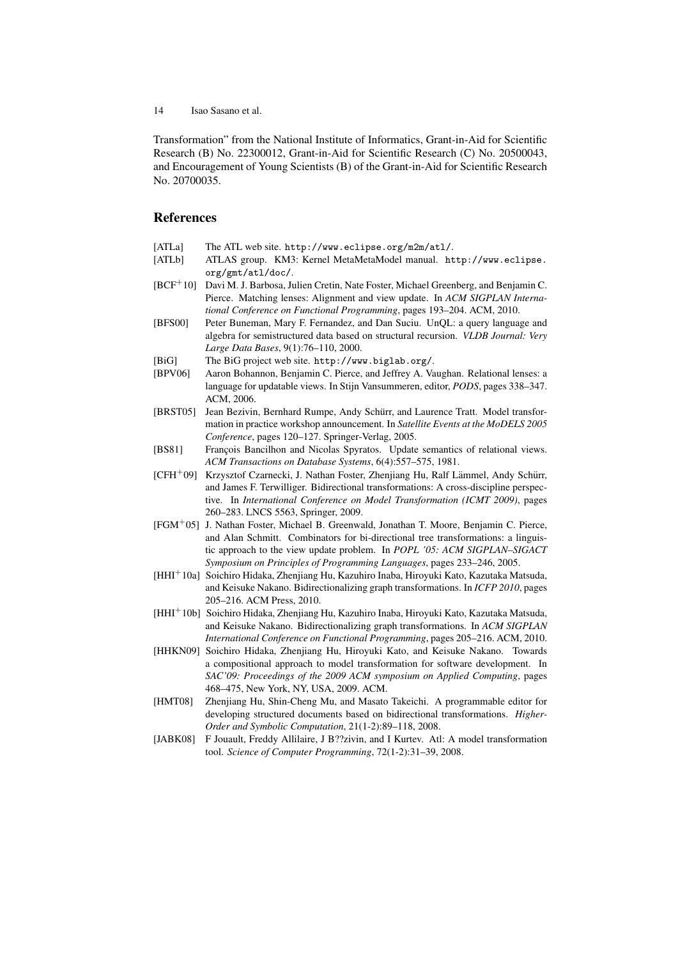Transformation" from the National Institute of Informatics, Grant-in-Aid for Scientific Research (B) No. 22300012, Grant-in-Aid for Scientific Research (C) No. 20500043, and Encouragement of Young Scientists (B) of the Grant-in-Aid for Scientific Research No. 20700035.

# References

- [ATLa] The ATL web site. http://www.eclipse.org/m2m/atl/.
- [ATLb] ATLAS group. KM3: Kernel MetaMetaModel manual. http://www.eclipse. org/gmt/atl/doc/.
- [BCF<sup>+</sup>10] Davi M. J. Barbosa, Julien Cretin, Nate Foster, Michael Greenberg, and Benjamin C. Pierce. Matching lenses: Alignment and view update. In *ACM SIGPLAN International Conference on Functional Programming*, pages 193–204. ACM, 2010.
- [BFS00] Peter Buneman, Mary F. Fernandez, and Dan Suciu. UnQL: a query language and algebra for semistructured data based on structural recursion. *VLDB Journal: Very Large Data Bases*, 9(1):76–110, 2000.
- [BiG] The BiG project web site. http://www.biglab.org/.
- [BPV06] Aaron Bohannon, Benjamin C. Pierce, and Jeffrey A. Vaughan. Relational lenses: a language for updatable views. In Stijn Vansummeren, editor, *PODS*, pages 338–347. ACM, 2006.
- [BRST05] Jean Bezivin, Bernhard Rumpe, Andy Schürr, and Laurence Tratt. Model transformation in practice workshop announcement. In *Satellite Events at the MoDELS 2005 Conference*, pages 120–127. Springer-Verlag, 2005.
- [BS81] François Bancilhon and Nicolas Spyratos. Update semantics of relational views. *ACM Transactions on Database Systems*, 6(4):557–575, 1981.
- $[CFH<sup>+</sup>09]$  Krzysztof Czarnecki, J. Nathan Foster, Zhenjiang Hu, Ralf Lämmel, Andy Schürr, and James F. Terwilliger. Bidirectional transformations: A cross-discipline perspective. In *International Conference on Model Transformation (ICMT 2009)*, pages 260–283. LNCS 5563, Springer, 2009.
- [FGM<sup>+</sup>05] J. Nathan Foster, Michael B. Greenwald, Jonathan T. Moore, Benjamin C. Pierce, and Alan Schmitt. Combinators for bi-directional tree transformations: a linguistic approach to the view update problem. In *POPL '05: ACM SIGPLAN–SIGACT Symposium on Principles of Programming Languages*, pages 233–246, 2005.
- [HHI<sup>+</sup>10a] Soichiro Hidaka, Zhenjiang Hu, Kazuhiro Inaba, Hiroyuki Kato, Kazutaka Matsuda, and Keisuke Nakano. Bidirectionalizing graph transformations. In *ICFP 2010*, pages 205–216. ACM Press, 2010.
- [HHI<sup>+</sup>10b] Soichiro Hidaka, Zhenjiang Hu, Kazuhiro Inaba, Hiroyuki Kato, Kazutaka Matsuda, and Keisuke Nakano. Bidirectionalizing graph transformations. In *ACM SIGPLAN International Conference on Functional Programming*, pages 205–216. ACM, 2010.
- [HHKN09] Soichiro Hidaka, Zhenjiang Hu, Hiroyuki Kato, and Keisuke Nakano. Towards a compositional approach to model transformation for software development. In *SAC'09: Proceedings of the 2009 ACM symposium on Applied Computing*, pages 468–475, New York, NY, USA, 2009. ACM.
- [HMT08] Zhenjiang Hu, Shin-Cheng Mu, and Masato Takeichi. A programmable editor for developing structured documents based on bidirectional transformations. *Higher-Order and Symbolic Computation*, 21(1-2):89–118, 2008.
- [JABK08] F Jouault, Freddy Allilaire, J B??zivin, and I Kurtev. Atl: A model transformation tool. *Science of Computer Programming*, 72(1-2):31–39, 2008.